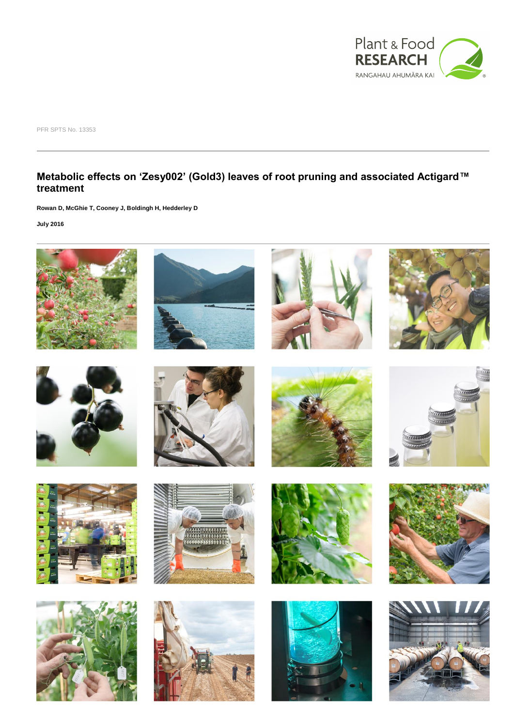

PFR SPTS No. 13353

### **Metabolic effects on 'Zesy002' (Gold3) leaves of root pruning and associated Actigard™ treatment**

**Rowan D, McGhie T, Cooney J, Boldingh H, Hedderley D**

**July 2016**









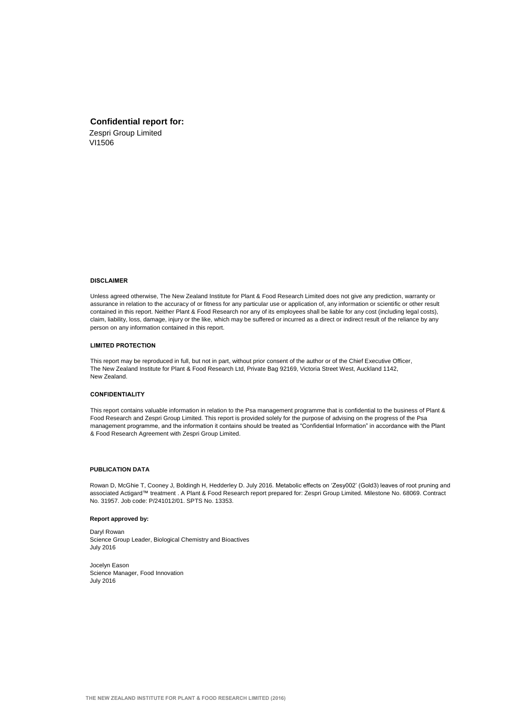#### **Confidential report for:**

Zespri Group Limited VI1506

#### **DISCLAIMER**

Unless agreed otherwise, The New Zealand Institute for Plant & Food Research Limited does not give any prediction, warranty or assurance in relation to the accuracy of or fitness for any particular use or application of, any information or scientific or other result contained in this report. Neither Plant & Food Research nor any of its employees shall be liable for any cost (including legal costs), claim, liability, loss, damage, injury or the like, which may be suffered or incurred as a direct or indirect result of the reliance by any person on any information contained in this report.

#### **LIMITED PROTECTION**

This report may be reproduced in full, but not in part, without prior consent of the author or of the Chief Executive Officer, The New Zealand Institute for Plant & Food Research Ltd, Private Bag 92169, Victoria Street West, Auckland 1142, New Zealand.

#### **CONFIDENTIALITY**

This report contains valuable information in relation to the Psa management programme that is confidential to the business of Plant & Food Research and Zespri Group Limited. This report is provided solely for the purpose of advising on the progress of the Psa management programme, and the information it contains should be treated as "Confidential Information" in accordance with the Plant & Food Research Agreement with Zespri Group Limited.

#### **PUBLICATION DATA**

Rowan D, McGhie T, Cooney J, Boldingh H, Hedderley D. July 2016. Metabolic effects on 'Zesy002' (Gold3) leaves of root pruning and associated Actigard™ treatment . A Plant & Food Research report prepared for: Zespri Group Limited. Milestone No. 68069. Contract No. 31957. Job code: P/241012/01. SPTS No. 13353.

#### **Report approved by:**

Daryl Rowan Science Group Leader, Biological Chemistry and Bioactives July 2016

Jocelyn Eason Science Manager, Food Innovation July 2016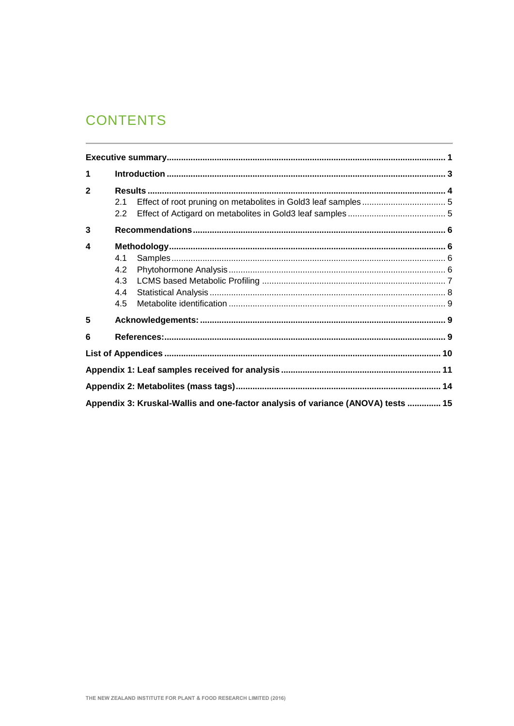# **CONTENTS**

| 1            |     |                                                                                  |  |
|--------------|-----|----------------------------------------------------------------------------------|--|
| $\mathbf{2}$ | 2.1 |                                                                                  |  |
|              | 2.2 |                                                                                  |  |
| 3            |     |                                                                                  |  |
| 4            |     |                                                                                  |  |
|              | 4.1 |                                                                                  |  |
|              | 4.2 |                                                                                  |  |
|              | 4.3 |                                                                                  |  |
|              | 4.4 |                                                                                  |  |
|              | 4.5 |                                                                                  |  |
| 5            |     |                                                                                  |  |
| 6            |     |                                                                                  |  |
|              |     |                                                                                  |  |
|              |     |                                                                                  |  |
|              |     |                                                                                  |  |
|              |     | Appendix 3: Kruskal-Wallis and one-factor analysis of variance (ANOVA) tests  15 |  |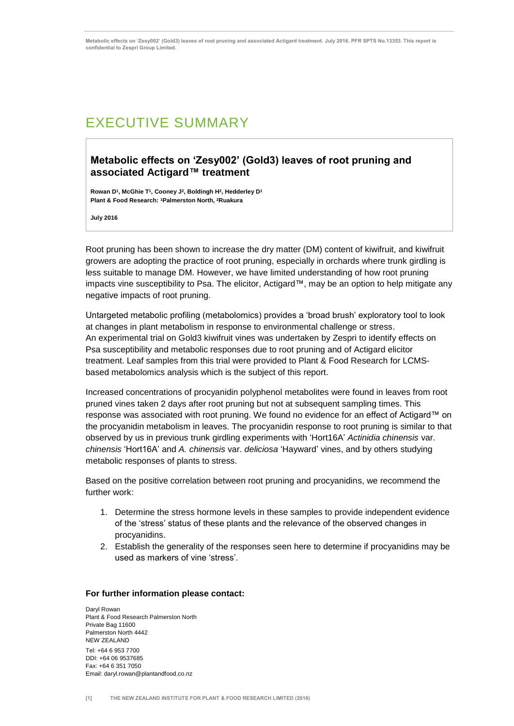## <span id="page-4-0"></span>EXECUTIVE SUMMARY

### **Metabolic effects on 'Zesy002' (Gold3) leaves of root pruning and associated Actigard™ treatment**

**Rowan D<sup>1</sup> , McGhie T<sup>1</sup> , Cooney J<sup>2</sup> , Boldingh H<sup>2</sup> , Hedderley D<sup>1</sup> Plant & Food Research: <sup>1</sup>Palmerston North, <sup>2</sup>Ruakura**

**July 2016**

Root pruning has been shown to increase the dry matter (DM) content of kiwifruit, and kiwifruit growers are adopting the practice of root pruning, especially in orchards where trunk girdling is less suitable to manage DM. However, we have limited understanding of how root pruning impacts vine susceptibility to Psa. The elicitor, Actigard™, may be an option to help mitigate any negative impacts of root pruning.

Untargeted metabolic profiling (metabolomics) provides a 'broad brush' exploratory tool to look at changes in plant metabolism in response to environmental challenge or stress. An experimental trial on Gold3 kiwifruit vines was undertaken by Zespri to identify effects on Psa susceptibility and metabolic responses due to root pruning and of Actigard elicitor treatment. Leaf samples from this trial were provided to Plant & Food Research for LCMSbased metabolomics analysis which is the subject of this report.

Increased concentrations of procyanidin polyphenol metabolites were found in leaves from root pruned vines taken 2 days after root pruning but not at subsequent sampling times. This response was associated with root pruning. We found no evidence for an effect of Actigard™ on the procyanidin metabolism in leaves. The procyanidin response to root pruning is similar to that observed by us in previous trunk girdling experiments with 'Hort16A' *Actinidia chinensis* var. *chinensis* 'Hort16A' and *A. chinensis* var. *deliciosa* 'Hayward' vines, and by others studying metabolic responses of plants to stress.

Based on the positive correlation between root pruning and procyanidins, we recommend the further work:

- 1. Determine the stress hormone levels in these samples to provide independent evidence of the 'stress' status of these plants and the relevance of the observed changes in procyanidins.
- 2. Establish the generality of the responses seen here to determine if procyanidins may be used as markers of vine 'stress'.

#### **For further information please contact:**

Daryl Rowan Plant & Food Research Palmerston North Private Bag 11600 Palmerston North 4442 NEW ZEALAND Tel: +64 6 953 7700 DDI: +64 06 9537685 Fax: +64 6 351 7050 Email: daryl.rowan@plantandfood.co.nz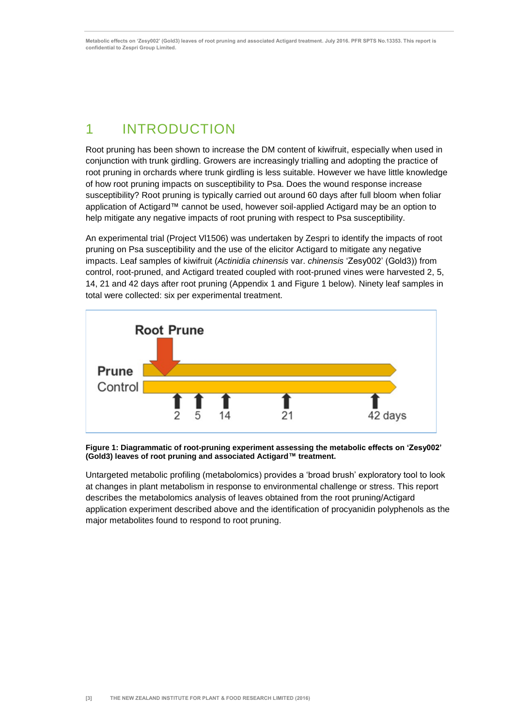## <span id="page-6-0"></span>1 INTRODUCTION

Root pruning has been shown to increase the DM content of kiwifruit, especially when used in conjunction with trunk girdling. Growers are increasingly trialling and adopting the practice of root pruning in orchards where trunk girdling is less suitable. However we have little knowledge of how root pruning impacts on susceptibility to Psa. Does the wound response increase susceptibility? Root pruning is typically carried out around 60 days after full bloom when foliar application of Actigard™ cannot be used, however soil-applied Actigard may be an option to help mitigate any negative impacts of root pruning with respect to Psa susceptibility.

An experimental trial (Project Vl1506) was undertaken by Zespri to identify the impacts of root pruning on Psa susceptibility and the use of the elicitor Actigard to mitigate any negative impacts. Leaf samples of kiwifruit (*Actinidia chinensis* var. *chinensis* 'Zesy002' (Gold3)) from control, root-pruned, and Actigard treated coupled with root-pruned vines were harvested 2, 5, 14, 21 and 42 days after root pruning (Appendix 1 and Figure 1 below). Ninety leaf samples in total were collected: six per experimental treatment.



**Figure 1: Diagrammatic of root-pruning experiment assessing the metabolic effects on 'Zesy002' (Gold3) leaves of root pruning and associated Actigard™ treatment.**

Untargeted metabolic profiling (metabolomics) provides a 'broad brush' exploratory tool to look at changes in plant metabolism in response to environmental challenge or stress. This report describes the metabolomics analysis of leaves obtained from the root pruning/Actigard application experiment described above and the identification of procyanidin polyphenols as the major metabolites found to respond to root pruning.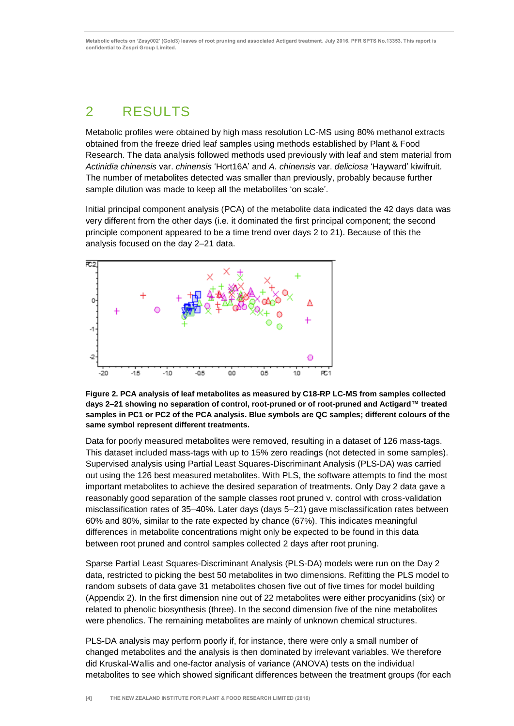# <span id="page-7-0"></span>2 RESULTS

Metabolic profiles were obtained by high mass resolution LC-MS using 80% methanol extracts obtained from the freeze dried leaf samples using methods established by Plant & Food Research. The data analysis followed methods used previously with leaf and stem material from *Actinidia chinensis* var. *chinensis* 'Hort16A' and *A. chinensis* var. *deliciosa* 'Hayward' kiwifruit. The number of metabolites detected was smaller than previously, probably because further sample dilution was made to keep all the metabolites 'on scale'.

Initial principal component analysis (PCA) of the metabolite data indicated the 42 days data was very different from the other days (i.e. it dominated the first principal component; the second principle component appeared to be a time trend over days 2 to 21). Because of this the analysis focused on the day 2–21 data.



**Figure 2. PCA analysis of leaf metabolites as measured by C18-RP LC-MS from samples collected days 2–21 showing no separation of control, root-pruned or of root-pruned and Actigard™ treated samples in PC1 or PC2 of the PCA analysis. Blue symbols are QC samples; different colours of the same symbol represent different treatments.** 

Data for poorly measured metabolites were removed, resulting in a dataset of 126 mass-tags. This dataset included mass-tags with up to 15% zero readings (not detected in some samples). Supervised analysis using Partial Least Squares-Discriminant Analysis (PLS-DA) was carried out using the 126 best measured metabolites. With PLS, the software attempts to find the most important metabolites to achieve the desired separation of treatments. Only Day 2 data gave a reasonably good separation of the sample classes root pruned v. control with cross-validation misclassification rates of 35–40%. Later days (days 5–21) gave misclassification rates between 60% and 80%, similar to the rate expected by chance (67%). This indicates meaningful differences in metabolite concentrations might only be expected to be found in this data between root pruned and control samples collected 2 days after root pruning.

Sparse Partial Least Squares-Discriminant Analysis (PLS-DA) models were run on the Day 2 data, restricted to picking the best 50 metabolites in two dimensions. Refitting the PLS model to random subsets of data gave 31 metabolites chosen five out of five times for model building (Appendix 2). In the first dimension nine out of 22 metabolites were either procyanidins (six) or related to phenolic biosynthesis (three). In the second dimension five of the nine metabolites were phenolics. The remaining metabolites are mainly of unknown chemical structures.

PLS-DA analysis may perform poorly if, for instance, there were only a small number of changed metabolites and the analysis is then dominated by irrelevant variables. We therefore did Kruskal-Wallis and one-factor analysis of variance (ANOVA) tests on the individual metabolites to see which showed significant differences between the treatment groups (for each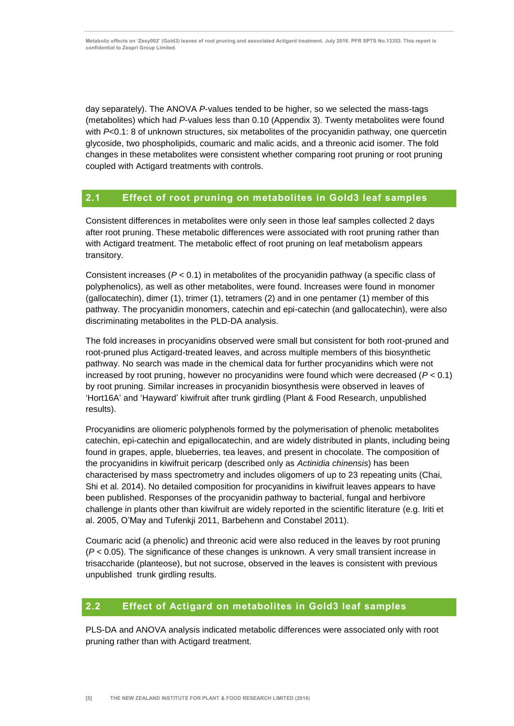day separately). The ANOVA *P*-values tended to be higher, so we selected the mass-tags (metabolites) which had *P*-values less than 0.10 (Appendix 3). Twenty metabolites were found with *P*<0.1: 8 of unknown structures, six metabolites of the procyanidin pathway, one quercetin glycoside, two phospholipids, coumaric and malic acids, and a threonic acid isomer. The fold changes in these metabolites were consistent whether comparing root pruning or root pruning coupled with Actigard treatments with controls.

### <span id="page-8-0"></span>**2.1 Effect of root pruning on metabolites in Gold3 leaf samples**

Consistent differences in metabolites were only seen in those leaf samples collected 2 days after root pruning. These metabolic differences were associated with root pruning rather than with Actigard treatment. The metabolic effect of root pruning on leaf metabolism appears transitory.

Consistent increases (*P* < 0.1) in metabolites of the procyanidin pathway (a specific class of polyphenolics), as well as other metabolites, were found. Increases were found in monomer (gallocatechin), dimer (1), trimer (1), tetramers (2) and in one pentamer (1) member of this pathway. The procyanidin monomers, catechin and epi-catechin (and gallocatechin), were also discriminating metabolites in the PLD-DA analysis.

The fold increases in procyanidins observed were small but consistent for both root-pruned and root-pruned plus Actigard-treated leaves, and across multiple members of this biosynthetic pathway. No search was made in the chemical data for further procyanidins which were not increased by root pruning, however no procyanidins were found which were decreased (*P* < 0.1) by root pruning. Similar increases in procyanidin biosynthesis were observed in leaves of 'Hort16A' and 'Hayward' kiwifruit after trunk girdling (Plant & Food Research, unpublished results).

Procyanidins are oliomeric polyphenols formed by the polymerisation of phenolic metabolites catechin, epi-catechin and epigallocatechin, and are widely distributed in plants, including being found in grapes, apple, blueberries, tea leaves, and present in chocolate. The composition of the procyanidins in kiwifruit pericarp (described only as *Actinidia chinensis*) has been characterised by mass spectrometry and includes oligomers of up to 23 repeating units (Chai, Shi et al. 2014). No detailed composition for procyanidins in kiwifruit leaves appears to have been published. Responses of the procyanidin pathway to bacterial, fungal and herbivore challenge in plants other than kiwifruit are widely reported in the scientific literature (e.g. Iriti et al. 2005, O'May and Tufenkji 2011, Barbehenn and Constabel 2011).

Coumaric acid (a phenolic) and threonic acid were also reduced in the leaves by root pruning (*P* < 0.05). The significance of these changes is unknown. A very small transient increase in trisaccharide (planteose), but not sucrose, observed in the leaves is consistent with previous unpublished trunk girdling results.

### <span id="page-8-1"></span>**2.2 Effect of Actigard on metabolites in Gold3 leaf samples**

PLS-DA and ANOVA analysis indicated metabolic differences were associated only with root pruning rather than with Actigard treatment.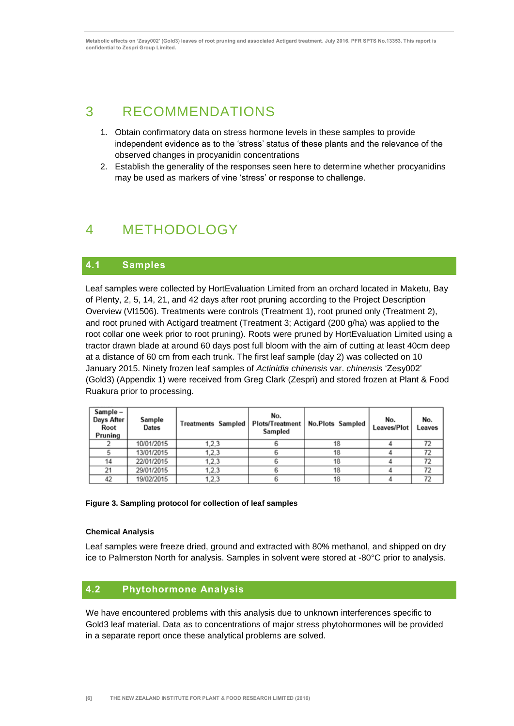## <span id="page-9-0"></span>3 RECOMMENDATIONS

- 1. Obtain confirmatory data on stress hormone levels in these samples to provide independent evidence as to the 'stress' status of these plants and the relevance of the observed changes in procyanidin concentrations
- 2. Establish the generality of the responses seen here to determine whether procyanidins may be used as markers of vine 'stress' or response to challenge.

## <span id="page-9-1"></span>4 METHODOLOGY

### <span id="page-9-2"></span>**4.1 Samples**

Leaf samples were collected by HortEvaluation Limited from an orchard located in Maketu, Bay of Plenty, 2, 5, 14, 21, and 42 days after root pruning according to the Project Description Overview (Vl1506). Treatments were controls (Treatment 1), root pruned only (Treatment 2), and root pruned with Actigard treatment (Treatment 3; Actigard (200 g/ha) was applied to the root collar one week prior to root pruning). Roots were pruned by HortEvaluation Limited using a tractor drawn blade at around 60 days post full bloom with the aim of cutting at least 40cm deep at a distance of 60 cm from each trunk. The first leaf sample (day 2) was collected on 10 January 2015. Ninety frozen leaf samples of *Actinidia chinensis* var. *chinensis* 'Zesy002' (Gold3) (Appendix 1) were received from Greg Clark (Zespri) and stored frozen at Plant & Food Ruakura prior to processing.

| Sample -<br>Days After<br>Root<br>Pruning | Sample<br>Dates | Treatments Sampled   Plots/Treatment   No.Plots Sampled | No.<br>Sampled |    | No.<br>Leaves/Plot | No.<br>Leaves |
|-------------------------------------------|-----------------|---------------------------------------------------------|----------------|----|--------------------|---------------|
|                                           | 10/01/2015      | 1.2.3                                                   |                | 18 |                    | 72            |
|                                           | 13/01/2015      | 1, 2, 3                                                 |                | 18 |                    | 72            |
| 14                                        | 22/01/2015      | 1,2,3                                                   |                | 18 |                    | 72            |
| 21                                        | 29/01/2015      | 1, 2, 3                                                 |                | 18 |                    | 72            |
| 42                                        | 19/02/2015      | 1.2.3                                                   |                | 18 |                    | 72            |

#### **Figure 3. Sampling protocol for collection of leaf samples**

#### **Chemical Analysis**

Leaf samples were freeze dried, ground and extracted with 80% methanol, and shipped on dry ice to Palmerston North for analysis. Samples in solvent were stored at -80°C prior to analysis.

### <span id="page-9-3"></span>**4.2 Phytohormone Analysis**

We have encountered problems with this analysis due to unknown interferences specific to Gold3 leaf material. Data as to concentrations of major stress phytohormones will be provided in a separate report once these analytical problems are solved.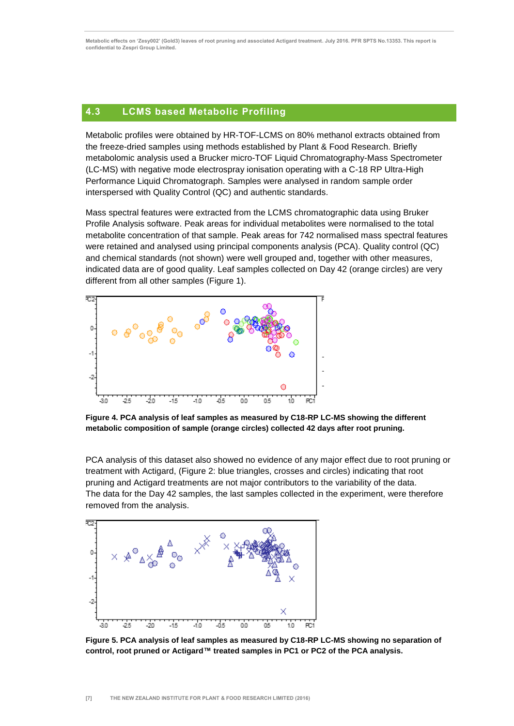### <span id="page-10-0"></span>**4.3 LCMS based Metabolic Profiling**

Metabolic profiles were obtained by HR-TOF-LCMS on 80% methanol extracts obtained from the freeze-dried samples using methods established by Plant & Food Research. Briefly metabolomic analysis used a Brucker micro-TOF Liquid Chromatography-Mass Spectrometer (LC-MS) with negative mode electrospray ionisation operating with a C-18 RP Ultra-High Performance Liquid Chromatograph. Samples were analysed in random sample order interspersed with Quality Control (QC) and authentic standards.

Mass spectral features were extracted from the LCMS chromatographic data using Bruker Profile Analysis software. Peak areas for individual metabolites were normalised to the total metabolite concentration of that sample. Peak areas for 742 normalised mass spectral features were retained and analysed using principal components analysis (PCA). Quality control (QC) and chemical standards (not shown) were well grouped and, together with other measures, indicated data are of good quality. Leaf samples collected on Day 42 (orange circles) are very different from all other samples (Figure 1).



**Figure 4. PCA analysis of leaf samples as measured by C18-RP LC-MS showing the different metabolic composition of sample (orange circles) collected 42 days after root pruning.** 

PCA analysis of this dataset also showed no evidence of any major effect due to root pruning or treatment with Actigard, (Figure 2: blue triangles, crosses and circles) indicating that root pruning and Actigard treatments are not major contributors to the variability of the data. The data for the Day 42 samples, the last samples collected in the experiment, were therefore removed from the analysis.



**Figure 5. PCA analysis of leaf samples as measured by C18-RP LC-MS showing no separation of control, root pruned or Actigard™ treated samples in PC1 or PC2 of the PCA analysis.**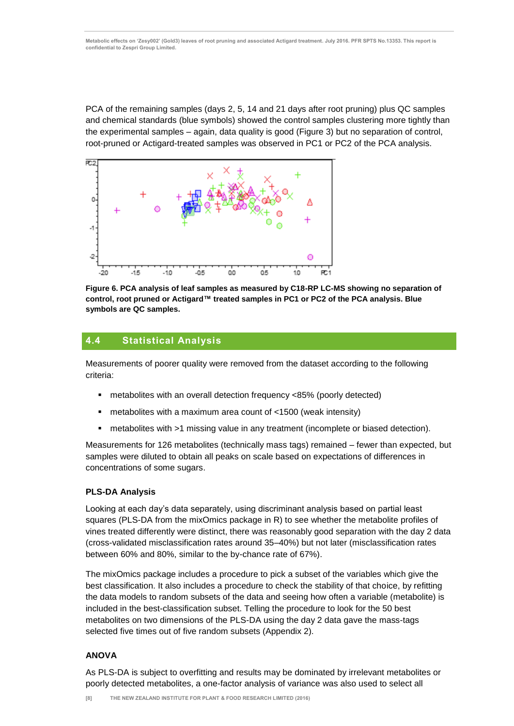PCA of the remaining samples (days 2, 5, 14 and 21 days after root pruning) plus QC samples and chemical standards (blue symbols) showed the control samples clustering more tightly than the experimental samples – again, data quality is good (Figure 3) but no separation of control, root-pruned or Actigard-treated samples was observed in PC1 or PC2 of the PCA analysis.



**Figure 6. PCA analysis of leaf samples as measured by C18-RP LC-MS showing no separation of control, root pruned or Actigard™ treated samples in PC1 or PC2 of the PCA analysis. Blue symbols are QC samples.** 

### <span id="page-11-0"></span>**4.4 Statistical Analysis**

Measurements of poorer quality were removed from the dataset according to the following criteria:

- metabolites with an overall detection frequency <85% (poorly detected)
- metabolites with a maximum area count of <1500 (weak intensity)
- metabolites with >1 missing value in any treatment (incomplete or biased detection).

Measurements for 126 metabolites (technically mass tags) remained – fewer than expected, but samples were diluted to obtain all peaks on scale based on expectations of differences in concentrations of some sugars.

#### **PLS-DA Analysis**

Looking at each day's data separately, using discriminant analysis based on partial least squares (PLS-DA from the mixOmics package in R) to see whether the metabolite profiles of vines treated differently were distinct, there was reasonably good separation with the day 2 data (cross-validated misclassification rates around 35–40%) but not later (misclassification rates between 60% and 80%, similar to the by-chance rate of 67%).

The mixOmics package includes a procedure to pick a subset of the variables which give the best classification. It also includes a procedure to check the stability of that choice, by refitting the data models to random subsets of the data and seeing how often a variable (metabolite) is included in the best-classification subset. Telling the procedure to look for the 50 best metabolites on two dimensions of the PLS-DA using the day 2 data gave the mass-tags selected five times out of five random subsets (Appendix 2).

#### **ANOVA**

As PLS-DA is subject to overfitting and results may be dominated by irrelevant metabolites or poorly detected metabolites, a one-factor analysis of variance was also used to select all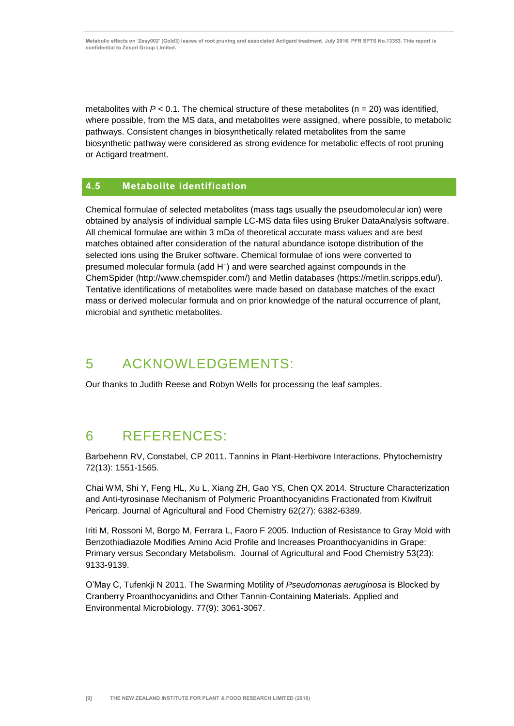metabolites with  $P < 0.1$ . The chemical structure of these metabolites ( $n = 20$ ) was identified, where possible, from the MS data, and metabolites were assigned, where possible, to metabolic pathways. Consistent changes in biosynthetically related metabolites from the same biosynthetic pathway were considered as strong evidence for metabolic effects of root pruning or Actigard treatment.

### <span id="page-12-0"></span>**4.5 Metabolite identification**

Chemical formulae of selected metabolites (mass tags usually the pseudomolecular ion) were obtained by analysis of individual sample LC-MS data files using Bruker DataAnalysis software. All chemical formulae are within 3 mDa of theoretical accurate mass values and are best matches obtained after consideration of the natural abundance isotope distribution of the selected ions using the Bruker software. Chemical formulae of ions were converted to presumed molecular formula (add H<sup>+</sup> ) and were searched against compounds in the ChemSpider (http://www.chemspider.com/) and Metlin databases (https://metlin.scripps.edu/). Tentative identifications of metabolites were made based on database matches of the exact mass or derived molecular formula and on prior knowledge of the natural occurrence of plant, microbial and synthetic metabolites.

## <span id="page-12-1"></span>5 ACKNOWLEDGEMENTS:

Our thanks to Judith Reese and Robyn Wells for processing the leaf samples.

## <span id="page-12-2"></span>6 REFERENCES:

Barbehenn RV, Constabel, CP 2011. Tannins in Plant-Herbivore Interactions. Phytochemistry 72(13): 1551-1565.

Chai WM, Shi Y, Feng HL, Xu L, Xiang ZH, Gao YS, Chen QX 2014. Structure Characterization and Anti-tyrosinase Mechanism of Polymeric Proanthocyanidins Fractionated from Kiwifruit Pericarp. Journal of Agricultural and Food Chemistry 62(27): 6382-6389.

Iriti M, Rossoni M, Borgo M, Ferrara L, Faoro F 2005. Induction of Resistance to Gray Mold with Benzothiadiazole Modifies Amino Acid Profile and Increases Proanthocyanidins in Grape: Primary versus Secondary Metabolism. Journal of Agricultural and Food Chemistry 53(23): 9133-9139.

O'May C, Tufenkji N 2011. The Swarming Motility of *Pseudomonas aeruginosa* is Blocked by Cranberry Proanthocyanidins and Other Tannin-Containing Materials. Applied and Environmental Microbiology. 77(9): 3061-3067.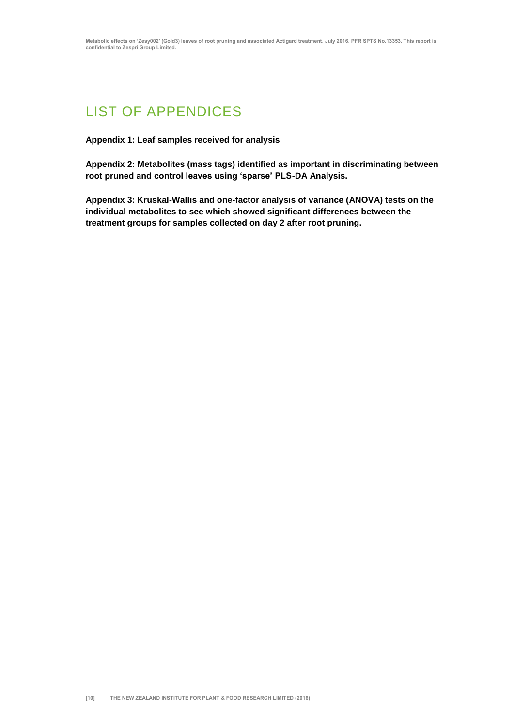## <span id="page-13-0"></span>LIST OF APPENDICES

**Appendix 1: Leaf samples received for analysis** 

**Appendix 2: Metabolites (mass tags) identified as important in discriminating between root pruned and control leaves using 'sparse' PLS-DA Analysis.** 

**Appendix 3: Kruskal-Wallis and one-factor analysis of variance (ANOVA) tests on the individual metabolites to see which showed significant differences between the treatment groups for samples collected on day 2 after root pruning.**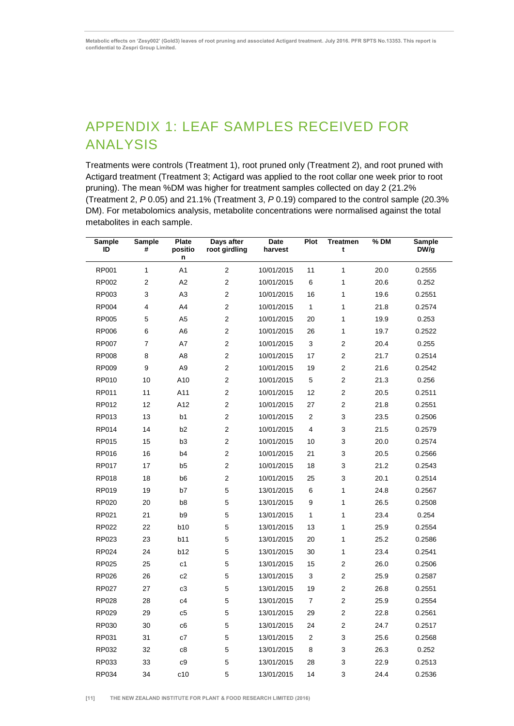## <span id="page-14-0"></span>APPENDIX 1: LEAF SAMPLES RECEIVED FOR ANALYSIS

Treatments were controls (Treatment 1), root pruned only (Treatment 2), and root pruned with Actigard treatment (Treatment 3; Actigard was applied to the root collar one week prior to root pruning). The mean %DM was higher for treatment samples collected on day 2 (21.2% (Treatment 2, *P* 0.05) and 21.1% (Treatment 3, *P* 0.19) compared to the control sample (20.3% DM). For metabolomics analysis, metabolite concentrations were normalised against the total metabolites in each sample.

| <b>Sample</b><br>ID | <b>Sample</b><br># | <b>Plate</b><br>positio<br>n | Days after<br>root girdling | Date<br>harvest | Plot           | <b>Treatmen</b><br>t    | $%$ DM | <b>Sample</b><br>DW/g |
|---------------------|--------------------|------------------------------|-----------------------------|-----------------|----------------|-------------------------|--------|-----------------------|
| RP001               | $\mathbf{1}$       | A1                           | $\sqrt{2}$                  | 10/01/2015      | 11             | $\mathbf{1}$            | 20.0   | 0.2555                |
| RP002               | 2                  | A2                           | $\overline{2}$              | 10/01/2015      | 6              | $\mathbf{1}$            | 20.6   | 0.252                 |
| RP003               | 3                  | A3                           | 2                           | 10/01/2015      | 16             | 1                       | 19.6   | 0.2551                |
| <b>RP004</b>        | 4                  | A4                           | $\overline{c}$              | 10/01/2015      | 1              | 1                       | 21.8   | 0.2574                |
| <b>RP005</b>        | 5                  | A <sub>5</sub>               | $\overline{2}$              | 10/01/2015      | 20             | $\mathbf{1}$            | 19.9   | 0.253                 |
| <b>RP006</b>        | 6                  | A6                           | 2                           | 10/01/2015      | 26             | $\mathbf{1}$            | 19.7   | 0.2522                |
| <b>RP007</b>        | 7                  | A7                           | $\overline{c}$              | 10/01/2015      | 3              | $\overline{c}$          | 20.4   | 0.255                 |
| <b>RP008</b>        | 8                  | A8                           | 2                           | 10/01/2015      | 17             | $\overline{\mathbf{c}}$ | 21.7   | 0.2514                |
| <b>RP009</b>        | 9                  | A <sub>9</sub>               | 2                           | 10/01/2015      | 19             | $\overline{2}$          | 21.6   | 0.2542                |
| RP010               | 10                 | A10                          | $\overline{c}$              | 10/01/2015      | 5              | $\overline{c}$          | 21.3   | 0.256                 |
| RP011               | 11                 | A11                          | $\overline{2}$              | 10/01/2015      | 12             | 2                       | 20.5   | 0.2511                |
| RP012               | 12                 | A12                          | $\overline{2}$              | 10/01/2015      | 27             | $\overline{2}$          | 21.8   | 0.2551                |
| RP013               | 13                 | b1                           | 2                           | 10/01/2015      | $\overline{2}$ | 3                       | 23.5   | 0.2506                |
| RP014               | 14                 | b <sub>2</sub>               | $\mathbf 2$                 | 10/01/2015      | 4              | 3                       | 21.5   | 0.2579                |
| RP015               | 15                 | b <sub>3</sub>               | $\overline{2}$              | 10/01/2015      | 10             | 3                       | 20.0   | 0.2574                |
| <b>RP016</b>        | 16                 | b <sub>4</sub>               | 2                           | 10/01/2015      | 21             | 3                       | 20.5   | 0.2566                |
| RP017               | 17                 | b <sub>5</sub>               | $\overline{c}$              | 10/01/2015      | 18             | 3                       | 21.2   | 0.2543                |
| <b>RP018</b>        | 18                 | b <sub>6</sub>               | 2                           | 10/01/2015      | 25             | 3                       | 20.1   | 0.2514                |
| RP019               | 19                 | b7                           | 5                           | 13/01/2015      | 6              | $\mathbf{1}$            | 24.8   | 0.2567                |
| RP020               | 20                 | b8                           | 5                           | 13/01/2015      | 9              | $\mathbf{1}$            | 26.5   | 0.2508                |
| RP021               | 21                 | b <sub>9</sub>               | 5                           | 13/01/2015      | 1              | $\mathbf{1}$            | 23.4   | 0.254                 |
| RP022               | 22                 | b10                          | 5                           | 13/01/2015      | 13             | $\mathbf{1}$            | 25.9   | 0.2554                |
| RP023               | 23                 | b11                          | 5                           | 13/01/2015      | 20             | 1                       | 25.2   | 0.2586                |
| <b>RP024</b>        | 24                 | b12                          | 5                           | 13/01/2015      | 30             | $\mathbf{1}$            | 23.4   | 0.2541                |
| <b>RP025</b>        | 25                 | c <sub>1</sub>               | 5                           | 13/01/2015      | 15             | $\overline{2}$          | 26.0   | 0.2506                |
| RP026               | 26                 | c2                           | 5                           | 13/01/2015      | 3              | $\overline{2}$          | 25.9   | 0.2587                |
| RP027               | 27                 | c3                           | 5                           | 13/01/2015      | 19             | 2                       | 26.8   | 0.2551                |
| <b>RP028</b>        | 28                 | c4                           | 5                           | 13/01/2015      | 7              | $\overline{2}$          | 25.9   | 0.2554                |
| RP029               | 29                 | c <sub>5</sub>               | 5                           | 13/01/2015      | 29             | $\overline{c}$          | 22.8   | 0.2561                |
| RP030               | 30                 | c <sub>6</sub>               | 5                           | 13/01/2015      | 24             | $\overline{2}$          | 24.7   | 0.2517                |
| RP031               | 31                 | c7                           | 5                           | 13/01/2015      | 2              | 3                       | 25.6   | 0.2568                |
| RP032               | 32                 | c8                           | 5                           | 13/01/2015      | 8              | 3                       | 26.3   | 0.252                 |
| RP033               | 33                 | c9                           | 5                           | 13/01/2015      | 28             | 3                       | 22.9   | 0.2513                |
| RP034               | 34                 | c10                          | 5                           | 13/01/2015      | 14             | 3                       | 24.4   | 0.2536                |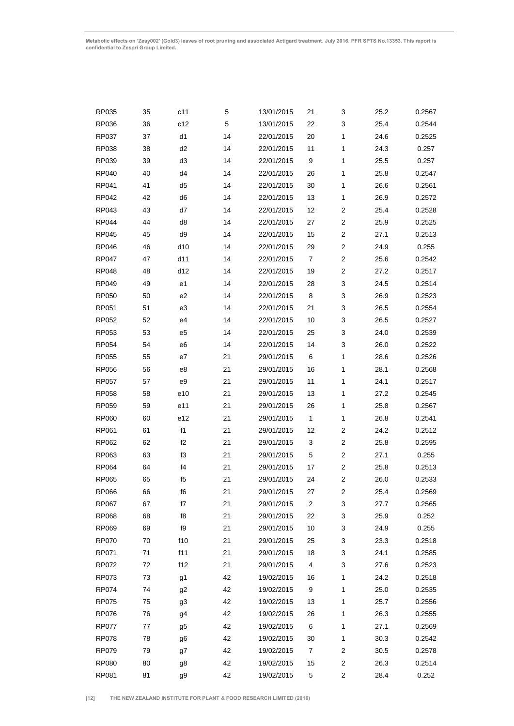| RP035        | 35 | c11            | 5  | 13/01/2015 | 21             | 3                       | 25.2 | 0.2567 |
|--------------|----|----------------|----|------------|----------------|-------------------------|------|--------|
| RP036        | 36 | c12            | 5  | 13/01/2015 | 3<br>22        |                         | 25.4 | 0.2544 |
| RP037        | 37 | d1             | 14 | 22/01/2015 | 20             | 1                       | 24.6 | 0.2525 |
| RP038        | 38 | d <sub>2</sub> | 14 | 22/01/2015 | 11             | 1                       | 24.3 | 0.257  |
| RP039        | 39 | d3             | 14 | 22/01/2015 | 9              | $\mathbf{1}$            | 25.5 | 0.257  |
| RP040        | 40 | d4             | 14 | 22/01/2015 | 26             | $\mathbf{1}$            | 25.8 | 0.2547 |
| RP041        | 41 | d <sub>5</sub> | 14 | 22/01/2015 | 30             | $\mathbf{1}$            | 26.6 | 0.2561 |
| RP042        | 42 | d <sub>6</sub> | 14 | 22/01/2015 | 13             | 1                       | 26.9 | 0.2572 |
| RP043        | 43 | d7             | 14 | 22/01/2015 | 12             | $\overline{c}$          | 25.4 | 0.2528 |
| <b>RP044</b> | 44 | d8             | 14 | 22/01/2015 | 27             | $\overline{c}$          | 25.9 | 0.2525 |
| <b>RP045</b> | 45 | d9             | 14 | 22/01/2015 | 15             | $\overline{\mathbf{c}}$ | 27.1 | 0.2513 |
| <b>RP046</b> | 46 | d10            | 14 | 22/01/2015 | 29             | $\overline{c}$          | 24.9 | 0.255  |
| RP047        | 47 | d11            | 14 | 22/01/2015 | $\overline{7}$ | $\overline{\mathbf{c}}$ | 25.6 | 0.2542 |
| <b>RP048</b> | 48 | d12            | 14 | 22/01/2015 | 19             | $\overline{c}$          | 27.2 | 0.2517 |
| RP049        | 49 | e <sub>1</sub> | 14 | 22/01/2015 | 28             | 3                       | 24.5 | 0.2514 |
| <b>RP050</b> | 50 | e <sub>2</sub> | 14 | 22/01/2015 | 8              | 3                       | 26.9 | 0.2523 |
| RP051        | 51 | e3             | 14 | 22/01/2015 | 21             | 3                       | 26.5 | 0.2554 |
| <b>RP052</b> | 52 | e4             | 14 | 22/01/2015 | 10             | 3                       | 26.5 | 0.2527 |
| RP053        | 53 | e <sub>5</sub> | 14 | 22/01/2015 | 25             | 3                       | 24.0 | 0.2539 |
| <b>RP054</b> | 54 | e6             | 14 | 22/01/2015 | 14             | 3                       | 26.0 | 0.2522 |
| RP055        | 55 | e7             | 21 | 29/01/2015 | 6              | 1                       | 28.6 | 0.2526 |
| <b>RP056</b> | 56 | e8             | 21 | 29/01/2015 | 16             | $\mathbf{1}$            | 28.1 | 0.2568 |
| <b>RP057</b> | 57 | e9             | 21 | 29/01/2015 | 11             | 1                       | 24.1 | 0.2517 |
| <b>RP058</b> | 58 | e10            | 21 | 29/01/2015 | 13             | $\mathbf{1}$            | 27.2 | 0.2545 |
| RP059        | 59 | e11            | 21 | 29/01/2015 | 26             | $\mathbf{1}$            | 25.8 | 0.2567 |
| <b>RP060</b> | 60 | e12            | 21 | 29/01/2015 | 1              | 1                       | 26.8 | 0.2541 |
| RP061        | 61 | f1             | 21 | 29/01/2015 | 12             | 2                       | 24.2 | 0.2512 |
| RP062        | 62 | f2             | 21 | 29/01/2015 | 3              | $\overline{c}$          | 25.8 | 0.2595 |
| RP063        | 63 | f3             | 21 | 29/01/2015 | 5              | $\overline{c}$          | 27.1 | 0.255  |
| RP064        | 64 | f4             | 21 | 29/01/2015 | 17             | $\overline{\mathbf{c}}$ | 25.8 | 0.2513 |
| <b>RP065</b> | 65 | f5             | 21 | 29/01/2015 | 24             | $\overline{\mathbf{c}}$ | 26.0 | 0.2533 |
| RP066        | 66 | f6             | 21 | 29/01/2015 | 27             | $\overline{2}$          | 25.4 | 0.2569 |
| RP067        | 67 | f7             | 21 | 29/01/2015 | 2              | 3                       | 27.7 | 0.2565 |
| <b>RP068</b> | 68 | f8             | 21 | 29/01/2015 | 22             | 3                       | 25.9 | 0.252  |
| RP069        | 69 | f9             | 21 | 29/01/2015 | 10             | 3                       | 24.9 | 0.255  |
| <b>RP070</b> | 70 | f10            | 21 | 29/01/2015 | 25             | 3                       | 23.3 | 0.2518 |
| RP071        | 71 | f11            | 21 | 29/01/2015 | 18             | 3                       | 24.1 | 0.2585 |
| RP072        | 72 | f12            | 21 | 29/01/2015 | 4              | 3                       | 27.6 | 0.2523 |
| <b>RP073</b> | 73 | g <sub>1</sub> | 42 | 19/02/2015 | 16             | 1                       | 24.2 | 0.2518 |
| <b>RP074</b> | 74 | g2             | 42 | 19/02/2015 | 9              | 1                       | 25.0 | 0.2535 |
| <b>RP075</b> | 75 | g3             | 42 | 19/02/2015 | 13             | 1                       | 25.7 | 0.2556 |
| <b>RP076</b> | 76 | g <sub>4</sub> | 42 | 19/02/2015 | 26             | 1                       | 26.3 | 0.2555 |
| <b>RP077</b> | 77 | g <sub>5</sub> | 42 | 19/02/2015 | 6              | 1                       | 27.1 | 0.2569 |
| RP078        | 78 | g6             | 42 | 19/02/2015 | 30             | 1                       | 30.3 | 0.2542 |
| RP079        | 79 | g7             | 42 | 19/02/2015 | 7              | 2                       | 30.5 | 0.2578 |
| <b>RP080</b> | 80 | g8             | 42 | 19/02/2015 | 15             | 2                       | 26.3 | 0.2514 |
| RP081        | 81 | g9             | 42 | 19/02/2015 | 5              | 2                       | 28.4 | 0.252  |
|              |    |                |    |            |                |                         |      |        |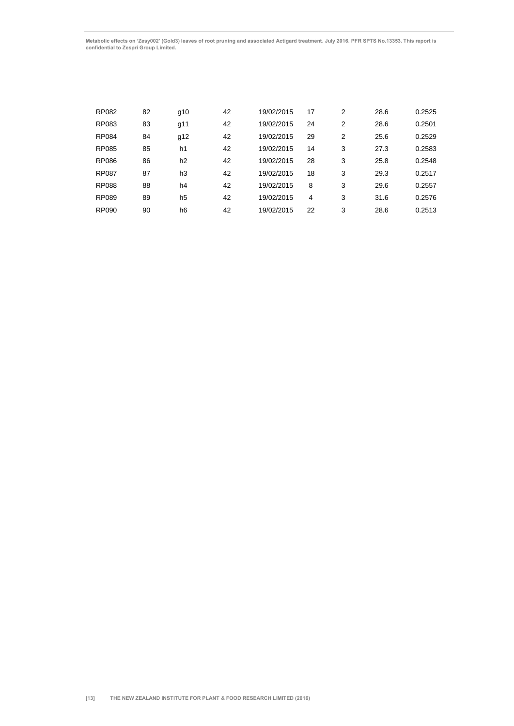| <b>RP082</b> | 82 | g10            | 42 | 19/02/2015 | 17 | 2 | 28.6 | 0.2525 |
|--------------|----|----------------|----|------------|----|---|------|--------|
| RP083        | 83 | g11            | 42 | 19/02/2015 | 24 | 2 | 28.6 | 0.2501 |
| <b>RP084</b> | 84 | g12            | 42 | 19/02/2015 | 29 | 2 | 25.6 | 0.2529 |
| <b>RP085</b> | 85 | h1             | 42 | 19/02/2015 | 14 | 3 | 27.3 | 0.2583 |
| <b>RP086</b> | 86 | h <sub>2</sub> | 42 | 19/02/2015 | 28 | 3 | 25.8 | 0.2548 |
| <b>RP087</b> | 87 | h3             | 42 | 19/02/2015 | 18 | 3 | 29.3 | 0.2517 |
| <b>RP088</b> | 88 | h4             | 42 | 19/02/2015 | 8  | 3 | 29.6 | 0.2557 |
| <b>RP089</b> | 89 | h5             | 42 | 19/02/2015 | 4  | 3 | 31.6 | 0.2576 |
| <b>RP090</b> | 90 | h6             | 42 | 19/02/2015 | 22 | 3 | 28.6 | 0.2513 |
|              |    |                |    |            |    |   |      |        |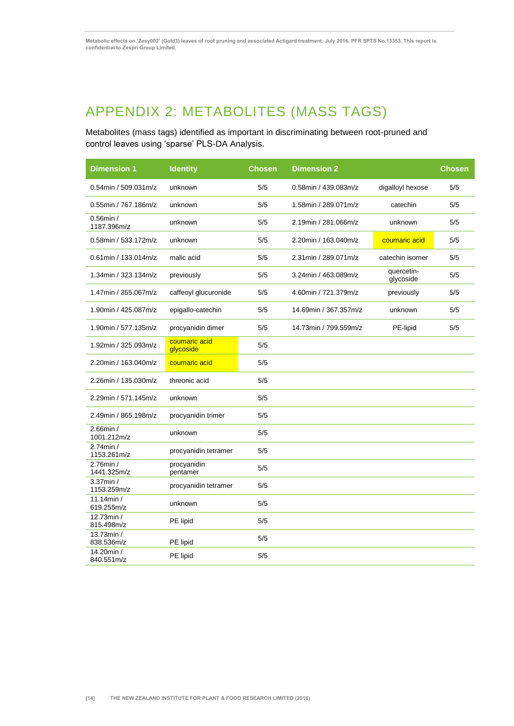# <span id="page-17-0"></span>APPENDIX 2: METABOLITES (MASS TAGS)

Metabolites (mass tags) identified as important in discriminating between root-pruned and control leaves using 'sparse' PLS-DA Analysis.

| <b>Dimension 1</b>          | <b>Identity</b>            | <b>Chosen</b> | <b>Dimension 2</b>    |                         | <b>Chosen</b> |
|-----------------------------|----------------------------|---------------|-----------------------|-------------------------|---------------|
| 0.54min / 509.031m/z        | unknown                    | 5/5           | 0.58min / 439.083m/z  | digalloyl hexose        | 5/5           |
| 0.55min / 767.186m/z        | unknown                    | 5/5           | 1.58min / 289.071m/z  | catechin                | 5/5           |
| $0.56$ min /<br>1187.396m/z | unknown                    | 5/5           | 2.19min / 281.066m/z  | unknown                 | 5/5           |
| 0.58min / 533.172m/z        | unknown                    | 5/5           | 2.20min / 163.040m/z  | coumaric acid           | 5/5           |
| 0.61min / 133.014m/z        | malic acid                 | 5/5           | 2.31min / 289.071m/z  | catechin isomer         | 5/5           |
| 1.34min / 323.134m/z        | previously                 | 5/5           | 3.24min / 463.089m/z  | quercetin-<br>glycoside | 5/5           |
| 1.47min / 355.067m/z        | caffeoyl glucuronide       | 5/5           | 4.60min / 721.379m/z  | previously              | 5/5           |
| 1.90min / 425.087m/z        | epigallo-catechin          | 5/5           | 14.69min / 367.357m/z | unknown                 | 5/5           |
| 1.90min / 577.135m/z        | procyanidin dimer          | 5/5           | 14.73min / 799.559m/z | PE-lipid                | 5/5           |
| 1.92min / 325.093m/z        | coumaric acid<br>glycoside | 5/5           |                       |                         |               |
| 2.20min / 163.040m/z        | coumaric acid              | 5/5           |                       |                         |               |
| 2.26min / 135.030m/z        | threonic acid              | 5/5           |                       |                         |               |
| 2.29min / 571.145m/z        | unknown                    | 5/5           |                       |                         |               |
| 2.49min / 865.198m/z        | procyanidin trimer         | 5/5           |                       |                         |               |
| 2.66min /<br>1001.212m/z    | unknown                    | 5/5           |                       |                         |               |
| 2.74min /<br>1153.261m/z    | procyanidin tetramer       | 5/5           |                       |                         |               |
| 2.76min /<br>1441.325m/z    | procyanidin<br>pentamer    | 5/5           |                       |                         |               |
| $3.37$ min /<br>1153.259m/z | procyanidin tetramer       | 5/5           |                       |                         |               |
| 11.14min /<br>619.255m/z    | unknown                    | 5/5           |                       |                         |               |
| 12.73min /<br>815.498m/z    | PE lipid                   | 5/5           |                       |                         |               |
| 13.73min /<br>838.536m/z    | PE lipid                   | 5/5           |                       |                         |               |
| 14.20min /<br>840.551m/z    | PE lipid                   | 5/5           |                       |                         |               |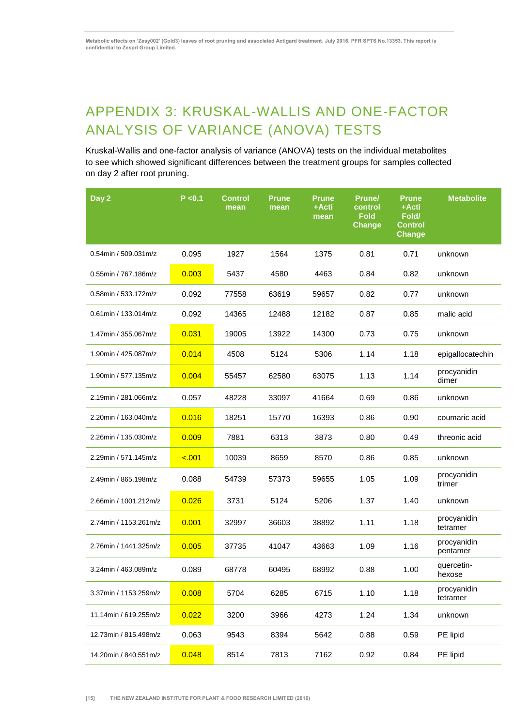# <span id="page-18-0"></span>APPENDIX 3: KRUSKAL-WALLIS AND ONE-FACTOR ANALYSIS OF VARIANCE (ANOVA) TESTS

Kruskal-Wallis and one-factor analysis of variance (ANOVA) tests on the individual metabolites to see which showed significant differences between the treatment groups for samples collected on day 2 after root pruning.

| Day 2                 | P < 0.1 | <b>Control</b><br>mean | <b>Prune</b><br>mean | <b>Prune</b><br>+Acti<br>mean | <b>Prune/</b><br>control<br><b>Fold</b><br><b>Change</b> | <b>Prune</b><br>+Acti<br>Fold/<br><b>Control</b><br><b>Change</b> | <b>Metabolite</b>       |
|-----------------------|---------|------------------------|----------------------|-------------------------------|----------------------------------------------------------|-------------------------------------------------------------------|-------------------------|
| 0.54min / 509.031m/z  | 0.095   | 1927                   | 1564                 | 1375                          | 0.81                                                     | 0.71                                                              | unknown                 |
| 0.55min / 767.186m/z  | 0.003   | 5437                   | 4580                 | 4463                          | 0.84                                                     | 0.82                                                              | unknown                 |
| 0.58min / 533.172m/z  | 0.092   | 77558                  | 63619                | 59657                         | 0.82                                                     | 0.77                                                              | unknown                 |
| 0.61min / 133.014m/z  | 0.092   | 14365                  | 12488                | 12182                         | 0.87                                                     | 0.85                                                              | malic acid              |
| 1.47min / 355.067m/z  | 0.031   | 19005                  | 13922                | 14300                         | 0.73                                                     | 0.75                                                              | unknown                 |
| 1.90min / 425.087m/z  | 0.014   | 4508                   | 5124                 | 5306                          | 1.14                                                     | 1.18                                                              | epigallocatechin        |
| 1.90min / 577.135m/z  | 0.004   | 55457                  | 62580                | 63075                         | 1.13                                                     | 1.14                                                              | procyanidin<br>dimer    |
| 2.19min / 281.066m/z  | 0.057   | 48228                  | 33097                | 41664                         | 0.69                                                     | 0.86                                                              | unknown                 |
| 2.20min / 163.040m/z  | 0.016   | 18251                  | 15770                | 16393                         | 0.86                                                     | 0.90                                                              | coumaric acid           |
| 2.26min / 135.030m/z  | 0.009   | 7881                   | 6313                 | 3873                          | 0.80                                                     | 0.49                                                              | threonic acid           |
| 2.29min / 571.145m/z  | $-.001$ | 10039                  | 8659                 | 8570                          | 0.86                                                     | 0.85                                                              | unknown                 |
| 2.49min / 865.198m/z  | 0.088   | 54739                  | 57373                | 59655                         | 1.05                                                     | 1.09                                                              | procyanidin<br>trimer   |
| 2.66min / 1001.212m/z | 0.026   | 3731                   | 5124                 | 5206                          | 1.37                                                     | 1.40                                                              | unknown                 |
| 2.74min / 1153.261m/z | 0.001   | 32997                  | 36603                | 38892                         | 1.11                                                     | 1.18                                                              | procyanidin<br>tetramer |
| 2.76min / 1441.325m/z | 0.005   | 37735                  | 41047                | 43663                         | 1.09                                                     | 1.16                                                              | procyanidin<br>pentamer |
| 3.24min / 463.089m/z  | 0.089   | 68778                  | 60495                | 68992                         | 0.88                                                     | 1.00                                                              | quercetin-<br>hexose    |
| 3.37min / 1153.259m/z | 0.008   | 5704                   | 6285                 | 6715                          | 1.10                                                     | 1.18                                                              | procyanidin<br>tetramer |
| 11.14min / 619.255m/z | 0.022   | 3200                   | 3966                 | 4273                          | 1.24                                                     | 1.34                                                              | unknown                 |
| 12.73min / 815.498m/z | 0.063   | 9543                   | 8394                 | 5642                          | 0.88                                                     | 0.59                                                              | PE lipid                |
| 14.20min / 840.551m/z | 0.048   | 8514                   | 7813                 | 7162                          | 0.92                                                     | 0.84                                                              | PE lipid                |